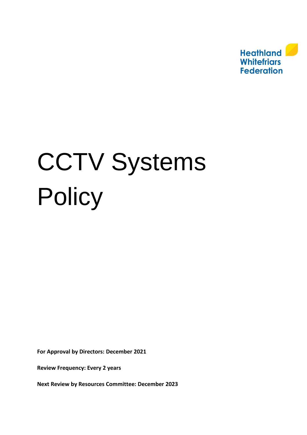

# CCTV Systems **Policy**

**For Approval by Directors: December 2021**

**Review Frequency: Every 2 years** 

**Next Review by Resources Committee: December 2023**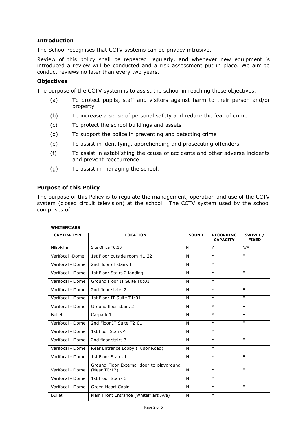# **Introduction**

The School recognises that CCTV systems can be privacy intrusive.

Review of this policy shall be repeated regularly, and whenever new equipment is introduced a review will be conducted and a risk assessment put in place. We aim to conduct reviews no later than every two years.

# **Objectives**

The purpose of the CCTV system is to assist the school in reaching these objectives:

- (a) To protect pupils, staff and visitors against harm to their person and/or property
- (b) To increase a sense of personal safety and reduce the fear of crime
- (c) To protect the school buildings and assets
- (d) To support the police in preventing and detecting crime
- (e) To assist in identifying, apprehending and prosecuting offenders
- (f) To assist in establishing the cause of accidents and other adverse incidents and prevent reoccurrence
- (g) To assist in managing the school.

# **Purpose of this Policy**

The purpose of this Policy is to regulate the management, operation and use of the CCTV system (closed circuit television) at the school. The CCTV system used by the school comprises of:

| <b>WHITEFRIARS</b> |                                                          |              |                                     |                          |  |  |
|--------------------|----------------------------------------------------------|--------------|-------------------------------------|--------------------------|--|--|
| <b>CAMERA TYPE</b> | <b>LOCATION</b>                                          | <b>SOUND</b> | <b>RECORDING</b><br><b>CAPACITY</b> | SWIVEL /<br><b>FIXED</b> |  |  |
| Hikvision          | Site Office T0:10                                        | N            | Y                                   | N/A                      |  |  |
| Varifocal -Dome    | 1st Floor outside room H1:22                             | N            | Y                                   | F.                       |  |  |
| Varifocal - Dome   | 2nd floor of stairs 1                                    | N            | Y                                   | F.                       |  |  |
| Varifocal - Dome   | 1st Floor Stairs 2 landing                               | N            | Y                                   | F.                       |  |  |
| Varifocal - Dome   | Ground Floor IT Suite T0:01                              | N            | Y                                   | F.                       |  |  |
| Varifocal - Dome   | 2nd floor stairs 2                                       | N            | Y                                   | F.                       |  |  |
| Varifocal - Dome   | 1st Floor IT Suite T1:01                                 | N            | Y                                   | F                        |  |  |
| Varifocal - Dome   | Ground floor stairs 2                                    | N            | Y                                   | F.                       |  |  |
| <b>Bullet</b>      | Carpark 1                                                | N            | Y                                   | F                        |  |  |
| Varifocal - Dome   | 2nd Floor IT Suite T2:01                                 | N            | Y                                   | E                        |  |  |
| Varifocal - Dome   | 1st floor Stairs 4                                       | N            | Y                                   | F                        |  |  |
| Varifocal - Dome   | 2nd floor stairs 3                                       | N            | Y                                   | F                        |  |  |
| Varifocal - Dome   | Rear Entrance Lobby (Tudor Road)                         | N            | Y                                   | F                        |  |  |
| Varifocal - Dome   | 1st Floor Stairs 1                                       | N            | Y                                   | F.                       |  |  |
| Varifocal - Dome   | Ground Floor External door to playground<br>(Near T0:12) | N            | Υ                                   | F                        |  |  |
| Varifocal - Dome   | 1st Floor Stairs 3                                       | N            | Y                                   | F                        |  |  |
| Varifocal - Dome   | <b>Green Heart Cabin</b>                                 | N            | Y                                   | F.                       |  |  |
| <b>Bullet</b>      | Main Front Entrance (Whitefriars Ave)                    | N            | Y                                   | F                        |  |  |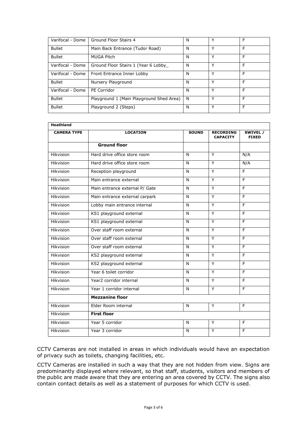| Varifocal - Dome | Ground Floor Stairs 4                    | N | Υ | F |
|------------------|------------------------------------------|---|---|---|
| <b>Bullet</b>    | Main Back Entrance (Tudor Road)          | N | Υ | F |
| <b>Bullet</b>    | MUGA Pitch                               | N | Υ | F |
| Varifocal - Dome | Ground Floor Stairs 1 (Year 6 Lobby      | N | Y | F |
| Varifocal - Dome | Front Entrance Inner Lobby               | N | Υ | F |
| <b>Bullet</b>    | Nursery Playground                       | N | Υ | F |
| Varifocal - Dome | PE Corridor                              | N | v | F |
| <b>Bullet</b>    | Playground 1 (Main Playground Shed Area) | N | ∨ | F |
| <b>Bullet</b>    | Playground 2 (Steps)                     | N | ٧ | F |

| <b>Heathland</b>   |                                |              |                                     |                          |  |  |
|--------------------|--------------------------------|--------------|-------------------------------------|--------------------------|--|--|
| <b>CAMERA TYPE</b> | <b>LOCATION</b>                | <b>SOUND</b> | <b>RECORDING</b><br><b>CAPACITY</b> | SWIVEL /<br><b>FIXED</b> |  |  |
|                    | <b>Ground floor</b>            |              |                                     |                          |  |  |
| Hikvision          | Hard drive office store room   | N            | Y                                   | N/A                      |  |  |
| Hikvision          | Hard drive office store room   | N            | Y                                   | N/A                      |  |  |
| Hikvision          | Reception playground           | N            | Y                                   | F                        |  |  |
| Hikvision          | Main entrance external         | N            | Y                                   | F                        |  |  |
| Hikvision          | Main entrance external P/ Gate | N            | Y                                   | E                        |  |  |
| <b>Hikvision</b>   | Main entrance external carpark | N            | Ÿ                                   | F                        |  |  |
| Hikvision          | Lobby main entrance internal   | N            | Y                                   | $\overline{F}$           |  |  |
| Hikvision          | KS1 playground external        | N            | Y                                   | $\overline{F}$           |  |  |
| Hikvision          | KS1 playground external        | N            | Y                                   | $\overline{F}$           |  |  |
| Hikvision          | Over staff room external       | N            | Y                                   | F                        |  |  |
| Hikvision          | Over staff room external       | N            | Y                                   | E                        |  |  |
| Hikvision          | Over staff room external       | N            | Y                                   | F                        |  |  |
| <b>Hikvision</b>   | KS2 playground external        | N            | Y                                   | F                        |  |  |
| Hikvision          | KS2 playground external        | N            | Y                                   | F                        |  |  |
| Hikvision          | Year 6 toilet corridor         | N            | Y                                   | E                        |  |  |
| Hikvision          | Year2 corridor internal        | N            | Y                                   | F                        |  |  |
| Hikvision          | Year 1 corridor internal       | N            | Y                                   | F                        |  |  |
|                    | <b>Mezzanine floor</b>         |              |                                     |                          |  |  |
| Hikvision          | Elder Room internal            | N            | Y                                   | F                        |  |  |
| Hikvision          | <b>First floor</b>             |              |                                     |                          |  |  |
| Hikvision          | Year 5 corridor                | N            | Y                                   | E                        |  |  |
| Hikvision          | Year 3 corridor                | N            | Y                                   | F                        |  |  |

CCTV Cameras are not installed in areas in which individuals would have an expectation of privacy such as toilets, changing facilities, etc.

CCTV Cameras are installed in such a way that they are not hidden from view. Signs are predominantly displayed where relevant, so that staff, students, visitors and members of the public are made aware that they are entering an area covered by CCTV. The signs also contain contact details as well as a statement of purposes for which CCTV is used.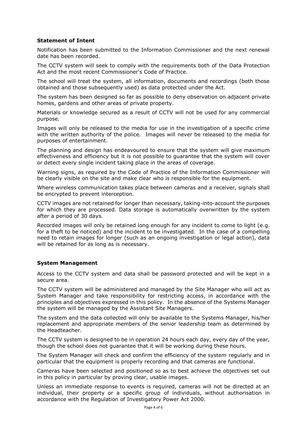# **Statement of Intent**

Notification has been submitted to the Information Commissioner and the next renewal date has been recorded.

The CCTV system will seek to comply with the requirements both of the Data Protection Act and the most recent Commissioner's Code of Practice.

The school will treat the system, all information, documents and recordings (both those obtained and those subsequently used) as data protected under the Act.

The system has been designed so far as possible to deny observation on adjacent private homes, gardens and other areas of private property.

Materials or knowledge secured as a result of CCTV will not be used for any commercial purpose.

Images will only be released to the media for use in the investigation of a specific crime with the written authority of the police. Images will never be released to the media for purposes of entertainment.

The planning and design has endeavoured to ensure that the system will give maximum effectiveness and efficiency but it is not possible to guarantee that the system will cover or detect every single incident taking place in the areas of coverage.

Warning signs, as required by the Code of Practice of the Information Commissioner will be clearly visible on the site and make clear who is responsible for the equipment.

Where wireless communication takes place between cameras and a receiver, signals shall be encrypted to prevent interception.

CCTV images are not retained for longer than necessary, taking-into-account the purposes for which they are processed. Data storage is automatically overwritten by the system after a period of 30 days.

Recorded images will only be retained long enough for any incident to come to light (e.g. for a theft to be noticed) and the incident to be investigated. In the case of a compelling need to retain images for longer (such as an ongoing investigation or legal action), data will be retained for as long as is necessary.

#### **System Management**

Access to the CCTV system and data shall be password protected and will be kept in a secure area.

The CCTV system will be administered and managed by the Site Manager who will act as System Manager and take responsibility for restricting access, in accordance with the principles and objectives expressed in this policy. In the absence of the Systems Manager the system will be managed by the Assistant Site Managers.

The system and the data collected will only be available to the Systems Manager, his/her replacement and appropriate members of the senior leadership team as determined by the Headteacher.

The CCTV system is designed to be in operation 24 hours each day, every day of the year, though the school does not guarantee that it will be working during these hours.

The System Manager will check and confirm the efficiency of the system regularly and in particular that the equipment is properly recording and that cameras are functional.

Cameras have been selected and positioned so as to best achieve the objectives set out in this policy in particular by proving clear, usable images.

Unless an immediate response to events is required, cameras will not be directed at an individual, their property or a specific group of individuals, without authorisation in accordance with the Regulation of Investigatory Power Act 2000.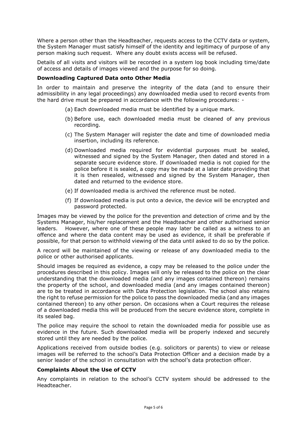Where a person other than the Headteacher, requests access to the CCTV data or system, the System Manager must satisfy himself of the identity and legitimacy of purpose of any person making such request. Where any doubt exists access will be refused.

Details of all visits and visitors will be recorded in a system log book including time/date of access and details of images viewed and the purpose for so doing.

### **Downloading Captured Data onto Other Media**

In order to maintain and preserve the integrity of the data (and to ensure their admissibility in any legal proceedings) any downloaded media used to record events from the hard drive must be prepared in accordance with the following procedures: -

- (a) Each downloaded media must be identified by a unique mark.
- (b) Before use, each downloaded media must be cleaned of any previous recording.
- (c) The System Manager will register the date and time of downloaded media insertion, including its reference.
- (d) Downloaded media required for evidential purposes must be sealed, witnessed and signed by the System Manager, then dated and stored in a separate secure evidence store. If downloaded media is not copied for the police before it is sealed, a copy may be made at a later date providing that it is then resealed, witnessed and signed by the System Manager, then dated and returned to the evidence store.
- (e) If downloaded media is archived the reference must be noted.
- (f) If downloaded media is put onto a device, the device will be encrypted and password protected.

Images may be viewed by the police for the prevention and detection of crime and by the Systems Manager, his/her replacement and the Headteacher and other authorised senior leaders. However, where one of these people may later be called as a witness to an offence and where the data content may be used as evidence, it shall be preferable if possible, for that person to withhold viewing of the data until asked to do so by the police.

A record will be maintained of the viewing or release of any downloaded media to the police or other authorised applicants.

Should images be required as evidence, a copy may be released to the police under the procedures described in this policy. Images will only be released to the police on the clear understanding that the downloaded media (and any images contained thereon) remains the property of the school, and downloaded media (and any images contained thereon) are to be treated in accordance with Data Protection legislation. The school also retains the right to refuse permission for the police to pass the downloaded media (and any images contained thereon) to any other person. On occasions when a Court requires the release of a downloaded media this will be produced from the secure evidence store, complete in its sealed bag.

The police may require the school to retain the downloaded media for possible use as evidence in the future. Such downloaded media will be properly indexed and securely stored until they are needed by the police.

Applications received from outside bodies (e.g. solicitors or parents) to view or release images will be referred to the school's Data Protection Officer and a decision made by a senior leader of the school in consultation with the school's data protection officer.

## **Complaints About the Use of CCTV**

Any complaints in relation to the school's CCTV system should be addressed to the Headteacher.